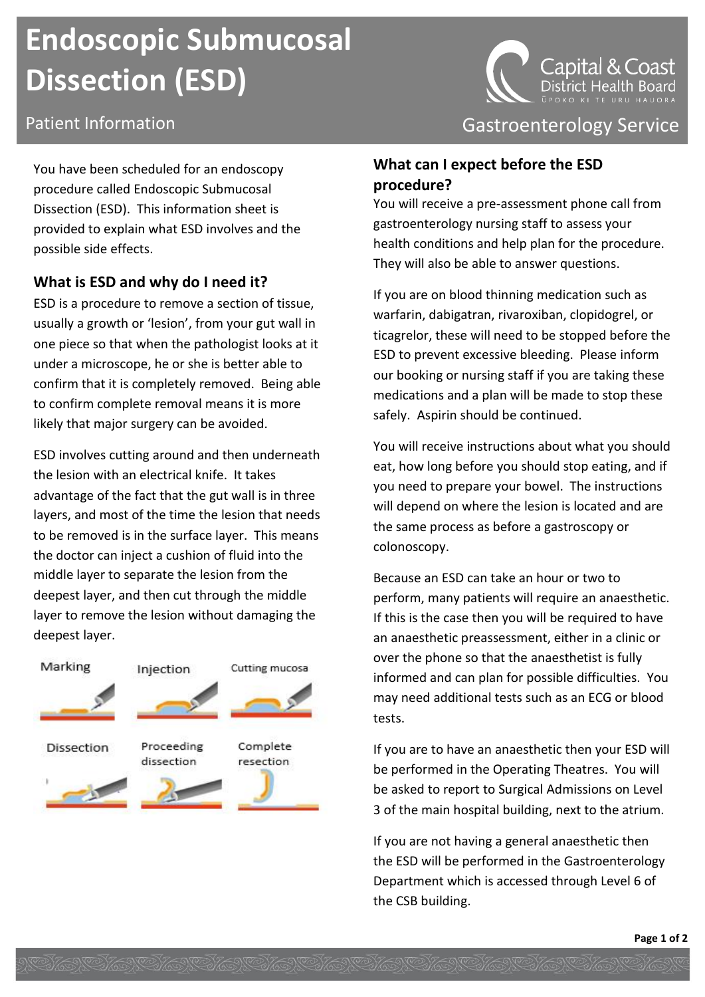# **Endoscopic Submucosal Dissection (ESD)**

You have been scheduled for an endoscopy procedure called Endoscopic Submucosal Dissection (ESD). This information sheet is provided to explain what ESD involves and the possible side effects.

# **What is ESD and why do I need it?**

ESD is a procedure to remove a section of tissue, usually a growth or 'lesion', from your gut wall in one piece so that when the pathologist looks at it under a microscope, he or she is better able to confirm that it is completely removed. Being able to confirm complete removal means it is more likely that major surgery can be avoided.

ESD involves cutting around and then underneath the lesion with an electrical knife. It takes advantage of the fact that the gut wall is in three layers, and most of the time the lesion that needs to be removed is in the surface layer. This means the doctor can inject a cushion of fluid into the middle layer to separate the lesion from the deepest layer, and then cut through the middle layer to remove the lesion without damaging the deepest layer.





Patient Information **Contract Contract Contract Contract Contract Contract Contract Contract Contract Contract Contract Contract Contract Contract Contract Contract Contract Contract Contract Contract Contract Contract Con** 

# **What can I expect before the ESD procedure?**

You will receive a pre-assessment phone call from gastroenterology nursing staff to assess your health conditions and help plan for the procedure. They will also be able to answer questions.

If you are on blood thinning medication such as warfarin, dabigatran, rivaroxiban, clopidogrel, or ticagrelor, these will need to be stopped before the ESD to prevent excessive bleeding. Please inform our booking or nursing staff if you are taking these medications and a plan will be made to stop these safely. Aspirin should be continued.

You will receive instructions about what you should eat, how long before you should stop eating, and if you need to prepare your bowel. The instructions will depend on where the lesion is located and are the same process as before a gastroscopy or colonoscopy.

Because an ESD can take an hour or two to perform, many patients will require an anaesthetic. If this is the case then you will be required to have an anaesthetic preassessment, either in a clinic or over the phone so that the anaesthetist is fully informed and can plan for possible difficulties. You may need additional tests such as an ECG or blood tests.

If you are to have an anaesthetic then your ESD will be performed in the Operating Theatres. You will be asked to report to Surgical Admissions on Level 3 of the main hospital building, next to the atrium.

If you are not having a general anaesthetic then the ESD will be performed in the Gastroenterology Department which is accessed through Level 6 of the CSB building.